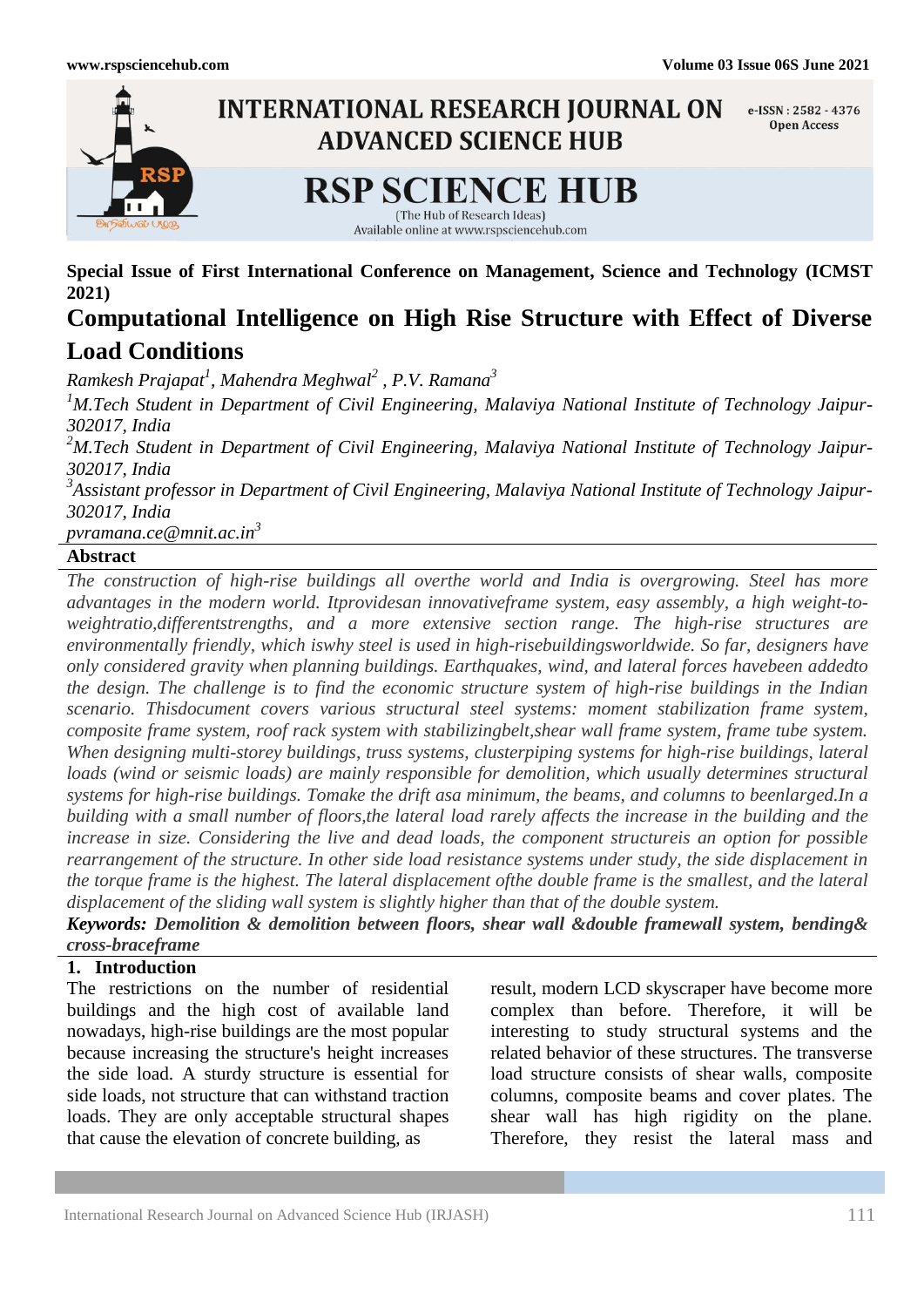

**Special Issue of First International Conference on Management, Science and Technology (ICMST 2021)**

# **Computational Intelligence on High Rise Structure with Effect of Diverse Load Conditions**

*Ramkesh Prajapat<sup>1</sup> , Mahendra Meghwal<sup>2</sup> , P.V. Ramana<sup>3</sup>*

*<sup>1</sup>M.Tech Student in Department of Civil Engineering, Malaviya National Institute of Technology Jaipur-302017, India*

*<sup>2</sup>M.Tech Student in Department of Civil Engineering, Malaviya National Institute of Technology Jaipur-302017, India*

*3 Assistant professor in Department of Civil Engineering, Malaviya National Institute of Technology Jaipur-302017, India*

*pvramana.ce@mnit.ac.in<sup>3</sup>*

# **Abstract**

*The construction of high-rise buildings all overthe world and India is overgrowing. Steel has more advantages in the modern world. Itprovidesan innovativeframe system, easy assembly, a high weight-toweightratio,differentstrengths, and a more extensive section range. The high-rise structures are environmentally friendly, which iswhy steel is used in high-risebuildingsworldwide. So far, designers have only considered gravity when planning buildings. Earthquakes, wind, and lateral forces havebeen addedto the design. The challenge is to find the economic structure system of high-rise buildings in the Indian scenario. Thisdocument covers various structural steel systems: moment stabilization frame system, composite frame system, roof rack system with stabilizingbelt,shear wall frame system, frame tube system. When designing multi-storey buildings, truss systems, clusterpiping systems for high-rise buildings, lateral loads (wind or seismic loads) are mainly responsible for demolition, which usually determines structural systems for high-rise buildings. Tomake the drift asa minimum, the beams, and columns to beenlarged.In a building with a small number of floors,the lateral load rarely affects the increase in the building and the increase in size. Considering the live and dead loads, the component structureis an option for possible rearrangement of the structure. In other side load resistance systems under study, the side displacement in the torque frame is the highest. The lateral displacement ofthe double frame is the smallest, and the lateral displacement of the sliding wall system is slightly higher than that of the double system.*

*Keywords: Demolition & demolition between floors, shear wall &double framewall system, bending& cross-braceframe*

# **1. Introduction**

The restrictions on the number of residential buildings and the high cost of available land nowadays, high-rise buildings are the most popular because increasing the structure's height increases the side load. A sturdy structure is essential for side loads, not structure that can withstand traction loads. They are only acceptable structural shapes that cause the elevation of concrete building, as

result, modern LCD skyscraper have become more complex than before. Therefore, it will be interesting to study structural systems and the related behavior of these structures. The transverse load structure consists of shear walls, composite columns, composite beams and cover plates. The shear wall has high rigidity on the plane. Therefore, they resist the lateral mass and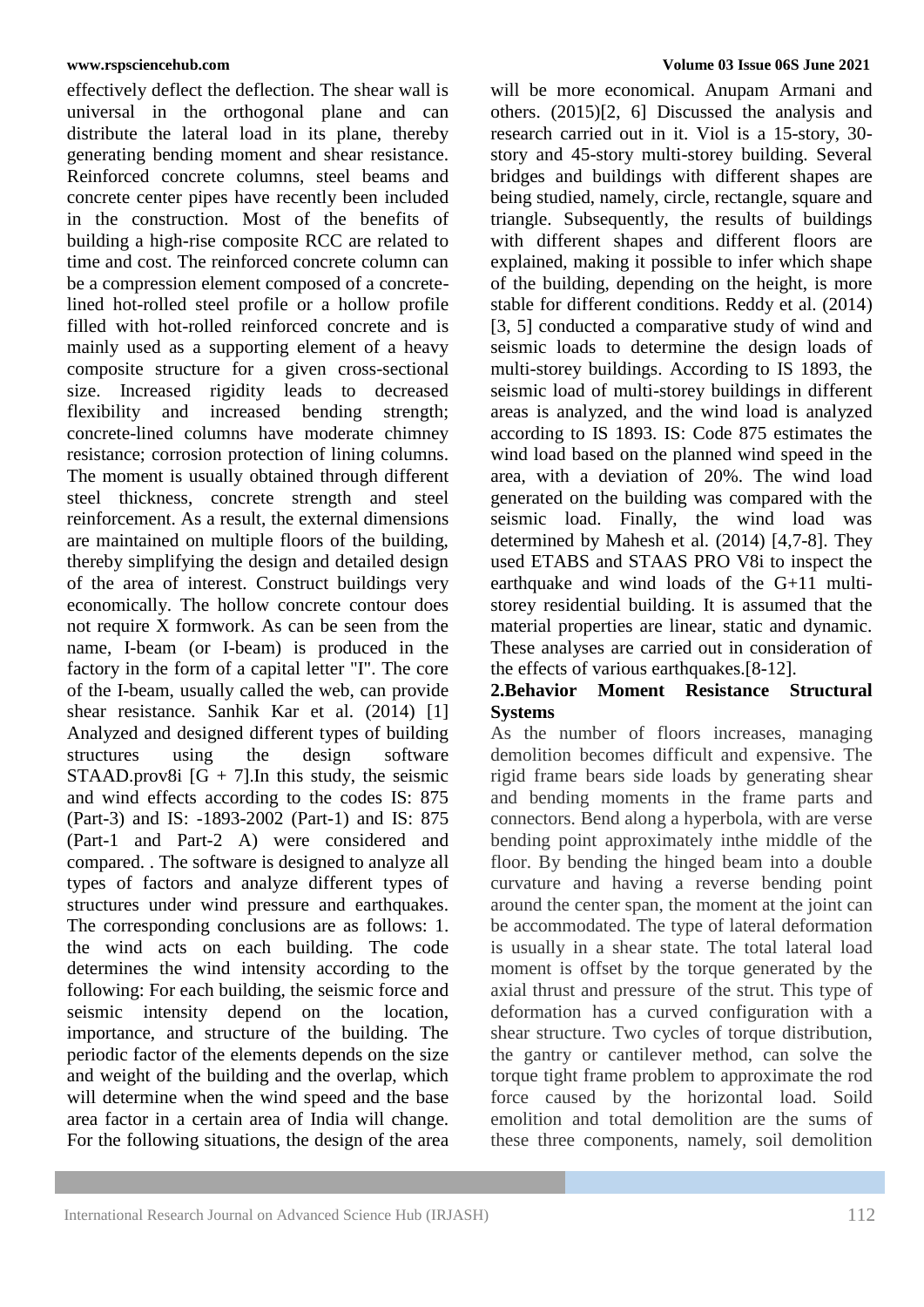effectively deflect the deflection. The shear wall is universal in the orthogonal plane and can distribute the lateral load in its plane, thereby generating bending moment and shear resistance. Reinforced concrete columns, steel beams and concrete center pipes have recently been included in the construction. Most of the benefits of building a high-rise composite RCC are related to time and cost. The reinforced concrete column can be a compression element composed of a concretelined hot-rolled steel profile or a hollow profile filled with hot-rolled reinforced concrete and is mainly used as a supporting element of a heavy composite structure for a given cross-sectional size. Increased rigidity leads to decreased flexibility and increased bending strength; concrete-lined columns have moderate chimney resistance; corrosion protection of lining columns. The moment is usually obtained through different steel thickness, concrete strength and steel reinforcement. As a result, the external dimensions are maintained on multiple floors of the building, thereby simplifying the design and detailed design of the area of interest. Construct buildings very economically. The hollow concrete contour does not require X formwork. As can be seen from the name, I-beam (or I-beam) is produced in the factory in the form of a capital letter "I". The core of the I-beam, usually called the web, can provide shear resistance. Sanhik Kar et al. (2014) [1] Analyzed and designed different types of building structures using the design software STAAD.prov8i  $[G + 7]$ . In this study, the seismic and wind effects according to the codes IS: 875 (Part-3) and IS: -1893-2002 (Part-1) and IS: 875 (Part-1 and Part-2 A) were considered and compared. . The software is designed to analyze all types of factors and analyze different types of structures under wind pressure and earthquakes. The corresponding conclusions are as follows: 1. the wind acts on each building. The code determines the wind intensity according to the following: For each building, the seismic force and seismic intensity depend on the location, importance, and structure of the building. The periodic factor of the elements depends on the size and weight of the building and the overlap, which will determine when the wind speed and the base area factor in a certain area of India will change. For the following situations, the design of the area

will be more economical. Anupam Armani and others. (2015)[2, 6] Discussed the analysis and research carried out in it. Viol is a 15-story, 30 story and 45-story multi-storey building. Several bridges and buildings with different shapes are being studied, namely, circle, rectangle, square and triangle. Subsequently, the results of buildings with different shapes and different floors are explained, making it possible to infer which shape of the building, depending on the height, is more stable for different conditions. Reddy et al. (2014) [3, 5] conducted a comparative study of wind and seismic loads to determine the design loads of multi-storey buildings. According to IS 1893, the seismic load of multi-storey buildings in different areas is analyzed, and the wind load is analyzed according to IS 1893. IS: Code 875 estimates the wind load based on the planned wind speed in the area, with a deviation of 20%. The wind load generated on the building was compared with the seismic load. Finally, the wind load was determined by Mahesh et al. (2014) [4,7-8]. They used ETABS and STAAS PRO V8i to inspect the earthquake and wind loads of the G+11 multistorey residential building. It is assumed that the material properties are linear, static and dynamic. These analyses are carried out in consideration of the effects of various earthquakes.[8-12].

# **2.Behavior Moment Resistance Structural Systems**

As the number of floors increases, managing demolition becomes difficult and expensive. The rigid frame bears side loads by generating shear and bending moments in the frame parts and connectors. Bend along a hyperbola, with are verse bending point approximately inthe middle of the floor. By bending the hinged beam into a double curvature and having a reverse bending point around the center span, the moment at the joint can be accommodated. The type of lateral deformation is usually in a shear state. The total lateral load moment is offset by the torque generated by the axial thrust and pressure of the strut. This type of deformation has a curved configuration with a shear structure. Two cycles of torque distribution, the gantry or cantilever method, can solve the torque tight frame problem to approximate the rod force caused by the horizontal load. Soild emolition and total demolition are the sums of these three components, namely, soil demolition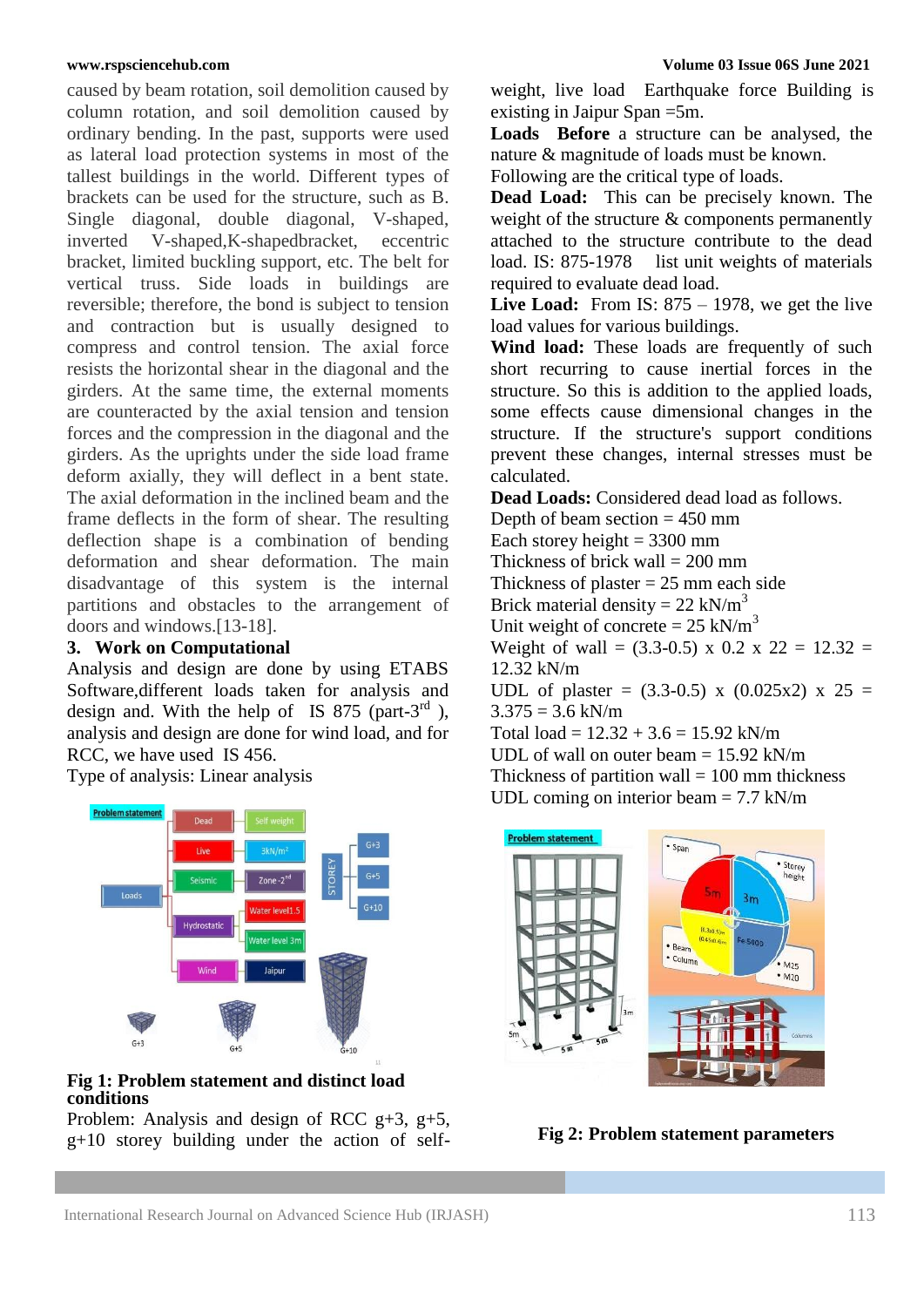caused by beam rotation, soil demolition caused by column rotation, and soil demolition caused by ordinary bending. In the past, supports were used as lateral load protection systems in most of the tallest buildings in the world. Different types of brackets can be used for the structure, such as B. Single diagonal, double diagonal, V-shaped, inverted V-shaped,K-shapedbracket, eccentric bracket, limited buckling support, etc. The belt for vertical truss. Side loads in buildings are reversible; therefore, the bond is subject to tension and contraction but is usually designed to compress and control tension. The axial force resists the horizontal shear in the diagonal and the girders. At the same time, the external moments are counteracted by the axial tension and tension forces and the compression in the diagonal and the girders. As the uprights under the side load frame deform axially, they will deflect in a bent state. The axial deformation in the inclined beam and the frame deflects in the form of shear. The resulting deflection shape is a combination of bending deformation and shear deformation. The main disadvantage of this system is the internal partitions and obstacles to the arrangement of doors and windows.[13-18].

### **3. Work on Computational**

Analysis and design are done by using ETABS Software,different loads taken for analysis and design and. With the help of IS 875 (part-3 $^{rd}$ ), analysis and design are done for wind load, and for RCC, we have used IS 456.

Type of analysis: Linear analysis



#### **Fig 1: Problem statement and distinct load conditions**

Problem: Analysis and design of RCC  $g+3$ ,  $g+5$ , g+10 storey building under the action of self-

weight, live load Earthquake force Building is existing in Jaipur Span =5m.

**Loads Before** a structure can be analysed, the nature & magnitude of loads must be known.

Following are the critical type of loads.

**Dead Load:** This can be precisely known. The weight of the structure & components permanently attached to the structure contribute to the dead load. IS: 875-1978 list unit weights of materials required to evaluate dead load.

Live Load: From IS: 875 – 1978, we get the live load values for various buildings.

**Wind load:** These loads are frequently of such short recurring to cause inertial forces in the structure. So this is addition to the applied loads, some effects cause dimensional changes in the structure. If the structure's support conditions prevent these changes, internal stresses must be calculated.

**Dead Loads:** Considered dead load as follows.

Depth of beam section  $= 450$  mm Each storey height  $= 3300$  mm Thickness of brick wall  $= 200$  mm Thickness of plaster  $= 25$  mm each side Brick material density =  $22 \text{ kN/m}^3$ Unit weight of concrete =  $25 \text{ kN/m}^3$ Weight of wall =  $(3.3-0.5)$  x 0.2 x 22 = 12.32 = 12.32 kN/m UDL of plaster =  $(3.3-0.5)$  x  $(0.025x2)$  x  $25 =$  $3.375 = 3.6$  kN/m Total  $load = 12.32 + 3.6 = 15.92$  kN/m UDL of wall on outer beam = 15.92 kN/m Thickness of partition wall  $= 100$  mm thickness UDL coming on interior beam  $= 7.7 \text{ kN/m}$ 



**Fig 2: Problem statement parameters**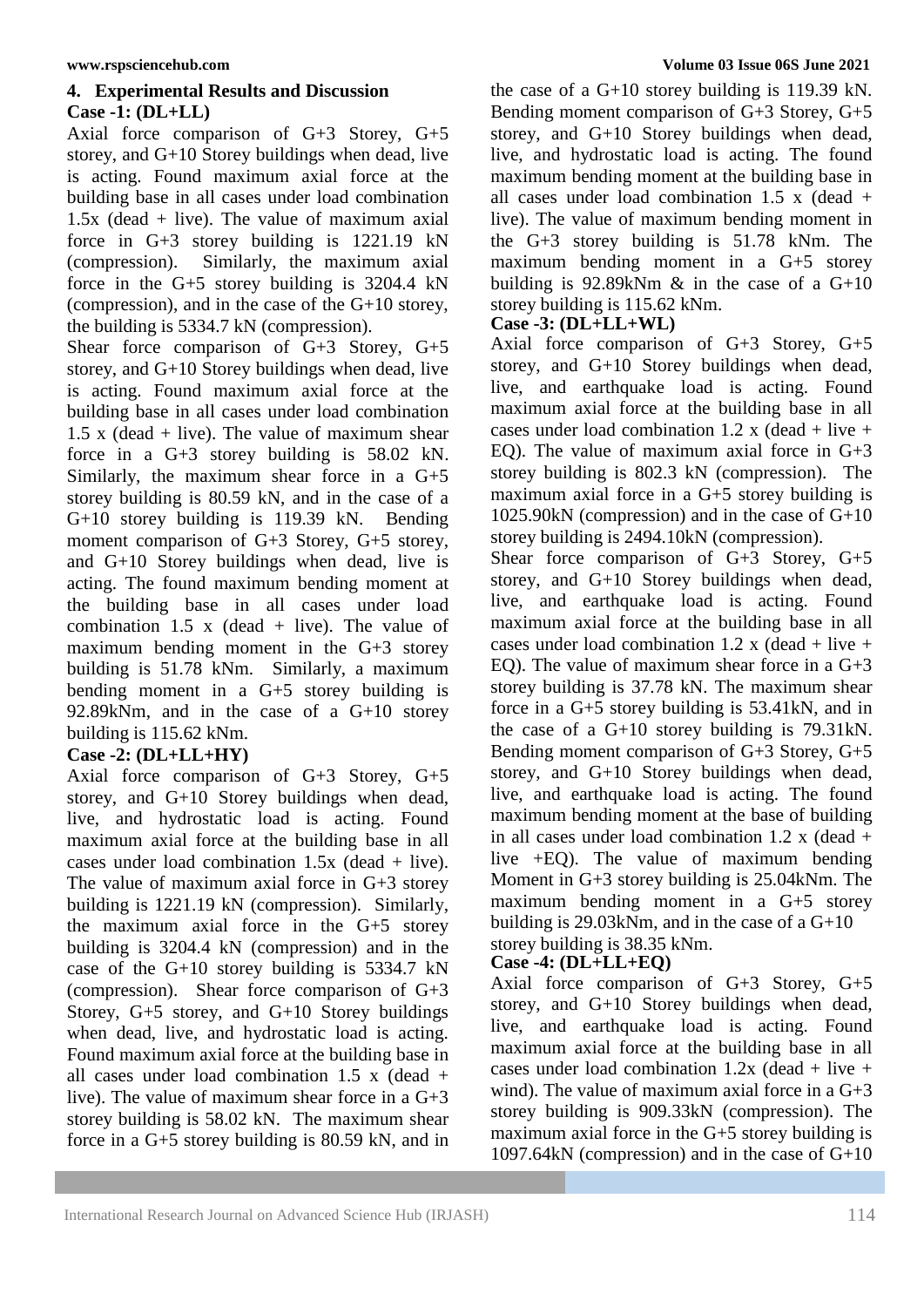# **4. Experimental Results and Discussion Case -1: (DL+LL)**

Axial force comparison of G+3 Storey, G+5 storey, and G+10 Storey buildings when dead, live is acting. Found maximum axial force at the building base in all cases under load combination  $1.5x$  (dead + live). The value of maximum axial force in G+3 storey building is 1221.19 kN (compression). Similarly, the maximum axial force in the G+5 storey building is 3204.4 kN (compression), and in the case of the G+10 storey, the building is 5334.7 kN (compression).

Shear force comparison of G+3 Storey, G+5 storey, and G+10 Storey buildings when dead, live is acting. Found maximum axial force at the building base in all cases under load combination 1.5 x (dead  $+$  live). The value of maximum shear force in a G+3 storey building is 58.02 kN. Similarly, the maximum shear force in a G+5 storey building is 80.59 kN, and in the case of a G+10 storey building is 119.39 kN. Bending moment comparison of G+3 Storey, G+5 storey, and G+10 Storey buildings when dead, live is acting. The found maximum bending moment at the building base in all cases under load combination 1.5 x (dead + live). The value of maximum bending moment in the G+3 storey building is 51.78 kNm. Similarly, a maximum bending moment in a G+5 storey building is 92.89kNm, and in the case of a G+10 storey building is 115.62 kNm.

# **Case -2: (DL+LL+HY)**

Axial force comparison of G+3 Storey, G+5 storey, and G+10 Storey buildings when dead, live, and hydrostatic load is acting. Found maximum axial force at the building base in all cases under load combination  $1.5x$  (dead + live). The value of maximum axial force in G+3 storey building is 1221.19 kN (compression). Similarly, the maximum axial force in the G+5 storey building is 3204.4 kN (compression) and in the case of the G+10 storey building is 5334.7 kN (compression). Shear force comparison of G+3 Storey, G+5 storey, and G+10 Storey buildings when dead, live, and hydrostatic load is acting. Found maximum axial force at the building base in all cases under load combination 1.5 x (dead + live). The value of maximum shear force in a G+3 storey building is 58.02 kN. The maximum shear force in a G+5 storey building is 80.59 kN, and in

the case of a G+10 storey building is 119.39 kN. Bending moment comparison of G+3 Storey, G+5 storey, and G+10 Storey buildings when dead, live, and hydrostatic load is acting. The found maximum bending moment at the building base in all cases under load combination 1.5 x (dead + live). The value of maximum bending moment in the G+3 storey building is 51.78 kNm. The maximum bending moment in a G+5 storey building is 92.89kNm  $\&$  in the case of a G+10 storey building is 115.62 kNm.

# **Case -3: (DL+LL+WL)**

Axial force comparison of G+3 Storey, G+5 storey, and G+10 Storey buildings when dead, live, and earthquake load is acting. Found maximum axial force at the building base in all cases under load combination 1.2 x (dead + live + EQ). The value of maximum axial force in  $G+3$ storey building is 802.3 kN (compression). The maximum axial force in a G+5 storey building is 1025.90kN (compression) and in the case of G+10 storey building is 2494.10kN (compression).

Shear force comparison of G+3 Storey, G+5 storey, and G+10 Storey buildings when dead, live, and earthquake load is acting. Found maximum axial force at the building base in all cases under load combination 1.2 x (dead + live + EQ). The value of maximum shear force in a G+3 storey building is 37.78 kN. The maximum shear force in a G+5 storey building is 53.41kN, and in the case of a G+10 storey building is 79.31kN. Bending moment comparison of G+3 Storey, G+5 storey, and G+10 Storey buildings when dead, live, and earthquake load is acting. The found maximum bending moment at the base of building in all cases under load combination  $1.2 \times (dead +$ live +EQ). The value of maximum bending Moment in G+3 storey building is 25.04kNm. The maximum bending moment in a G+5 storey building is 29.03kNm, and in the case of a G+10 storey building is 38.35 kNm.

# **Case -4: (DL+LL+EQ)**

Axial force comparison of G+3 Storey, G+5 storey, and G+10 Storey buildings when dead, live, and earthquake load is acting. Found maximum axial force at the building base in all cases under load combination  $1.2x$  (dead + live + wind). The value of maximum axial force in a  $G+3$ storey building is 909.33kN (compression). The maximum axial force in the G+5 storey building is 1097.64kN (compression) and in the case of G+10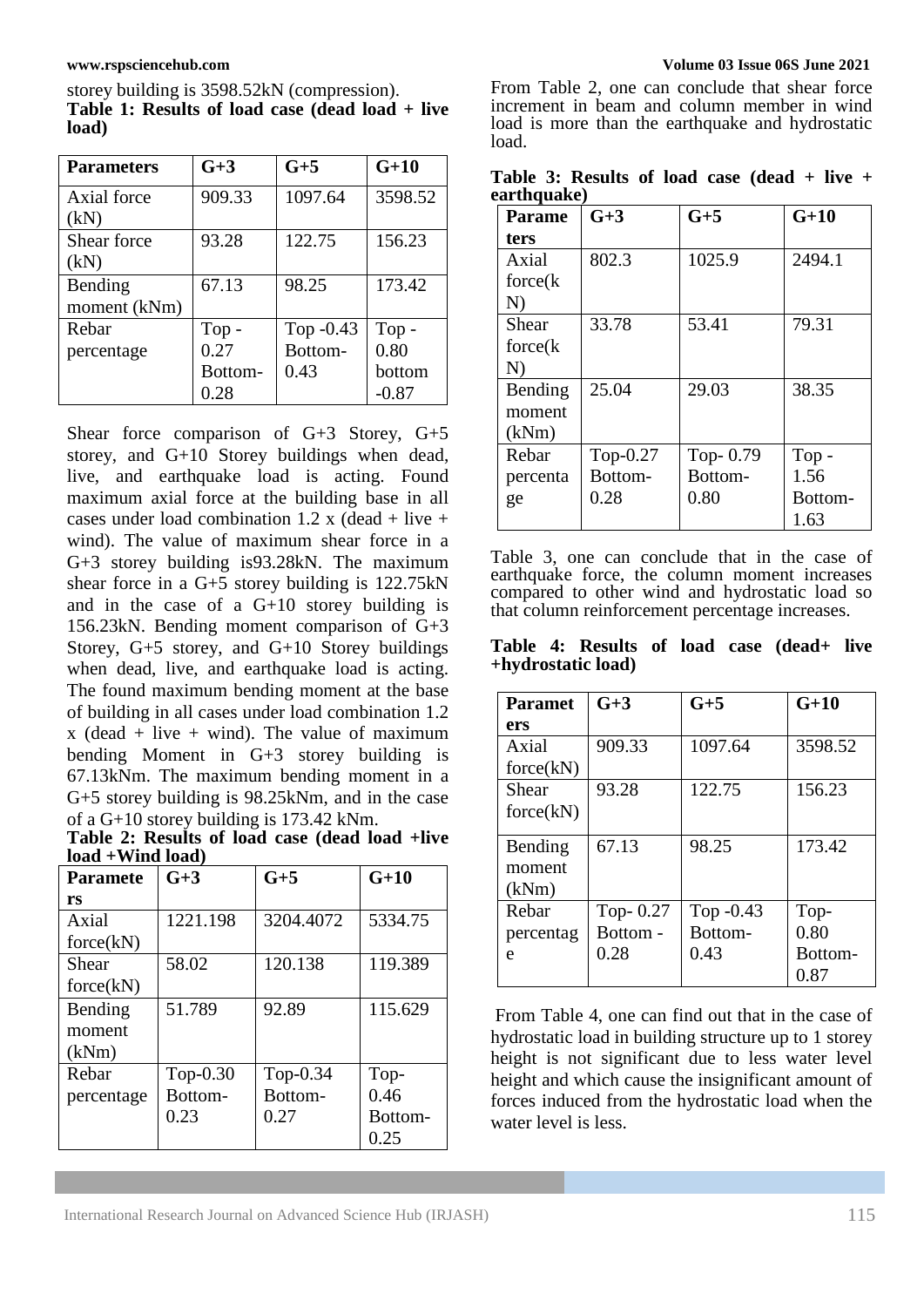storey building is 3598.52kN (compression). **Table 1: Results of load case (dead load + live load)**

| <b>Parameters</b> | $G+3$   | $G+5$       | $G+10$  |
|-------------------|---------|-------------|---------|
| Axial force       | 909.33  | 1097.64     | 3598.52 |
| (kN)              |         |             |         |
| Shear force       | 93.28   | 122.75      | 156.23  |
| (kN)              |         |             |         |
| Bending           | 67.13   | 98.25       | 173.42  |
| moment (kNm)      |         |             |         |
| Rebar             | $Top -$ | Top $-0.43$ | $Top -$ |
| percentage        | 0.27    | Bottom-     | 0.80    |
|                   | Bottom- | 0.43        | bottom  |
|                   | 0.28    |             | $-0.87$ |

Shear force comparison of G+3 Storey, G+5 storey, and G+10 Storey buildings when dead, live, and earthquake load is acting. Found maximum axial force at the building base in all cases under load combination 1.2 x (dead + live + wind). The value of maximum shear force in a G+3 storey building is93.28kN. The maximum shear force in a G+5 storey building is 122.75kN and in the case of a G+10 storey building is 156.23kN. Bending moment comparison of G+3 Storey, G+5 storey, and G+10 Storey buildings when dead, live, and earthquake load is acting. The found maximum bending moment at the base of building in all cases under load combination 1.2  $x$  (dead + live + wind). The value of maximum bending Moment in G+3 storey building is 67.13kNm. The maximum bending moment in a G+5 storey building is 98.25kNm, and in the case of a G+10 storey building is 173.42 kNm.

**Table 2: Results of load case (dead load +live load +Wind load)**

| <b>Paramete</b> | $G+3$       | $G+5$       | $G+10$  |  |  |
|-----------------|-------------|-------------|---------|--|--|
| rs              |             |             |         |  |  |
| Axial           | 1221.198    | 3204.4072   | 5334.75 |  |  |
| force(kN)       |             |             |         |  |  |
| Shear           | 58.02       | 120.138     | 119.389 |  |  |
| force(kN)       |             |             |         |  |  |
| Bending         | 51.789      | 92.89       | 115.629 |  |  |
| moment          |             |             |         |  |  |
| (kNm)           |             |             |         |  |  |
| Rebar           | Top- $0.30$ | Top- $0.34$ | Top-    |  |  |
| percentage      | Bottom-     | Bottom-     | 0.46    |  |  |
|                 | 0.23        | 0.27        | Bottom- |  |  |
|                 |             |             | 0.25    |  |  |

From Table 2, one can conclude that shear force increment in beam and column member in wind load is more than the earthquake and hydrostatic load.

|             | Table 3: Results of load case $ dead + live +$ |  |  |  |  |
|-------------|------------------------------------------------|--|--|--|--|
| earthquake) |                                                |  |  |  |  |

| <b>Parame</b> | $G+3$    | $G+5$    | $G+10$  |
|---------------|----------|----------|---------|
| ters          |          |          |         |
| Axial         | 802.3    | 1025.9   | 2494.1  |
| force(k)      |          |          |         |
| N)            |          |          |         |
| Shear         | 33.78    | 53.41    | 79.31   |
| force(k)      |          |          |         |
| N)            |          |          |         |
| Bending       | 25.04    | 29.03    | 38.35   |
| moment        |          |          |         |
| (kNm)         |          |          |         |
| Rebar         | Top-0.27 | Top-0.79 | $Top -$ |
| percenta      | Bottom-  | Bottom-  | 1.56    |
| ge            | 0.28     | 0.80     | Bottom- |
|               |          |          | 1.63    |

Table 3, one can conclude that in the case of earthquake force, the column moment increases compared to other wind and hydrostatic load so that column reinforcement percentage increases.

**Table 4: Results of load case (dead+ live +hydrostatic load)**

| <b>Paramet</b> | $G+3$    | $G+5$       | $G+10$  |  |
|----------------|----------|-------------|---------|--|
| ers            |          |             |         |  |
| Axial          | 909.33   | 1097.64     | 3598.52 |  |
| force(kN)      |          |             |         |  |
| Shear          | 93.28    | 122.75      | 156.23  |  |
| force(kN)      |          |             |         |  |
|                |          |             |         |  |
| Bending        | 67.13    | 98.25       | 173.42  |  |
| moment         |          |             |         |  |
| (kNm)          |          |             |         |  |
| Rebar          | Top-0.27 | Top $-0.43$ | Top-    |  |
| percentag      | Bottom - | Bottom-     | 0.80    |  |
| e              | 0.28     | 0.43        | Bottom- |  |
|                |          |             | 0.87    |  |

From Table 4, one can find out that in the case of hydrostatic load in building structure up to 1 storey height is not significant due to less water level height and which cause the insignificant amount of forces induced from the hydrostatic load when the water level is less.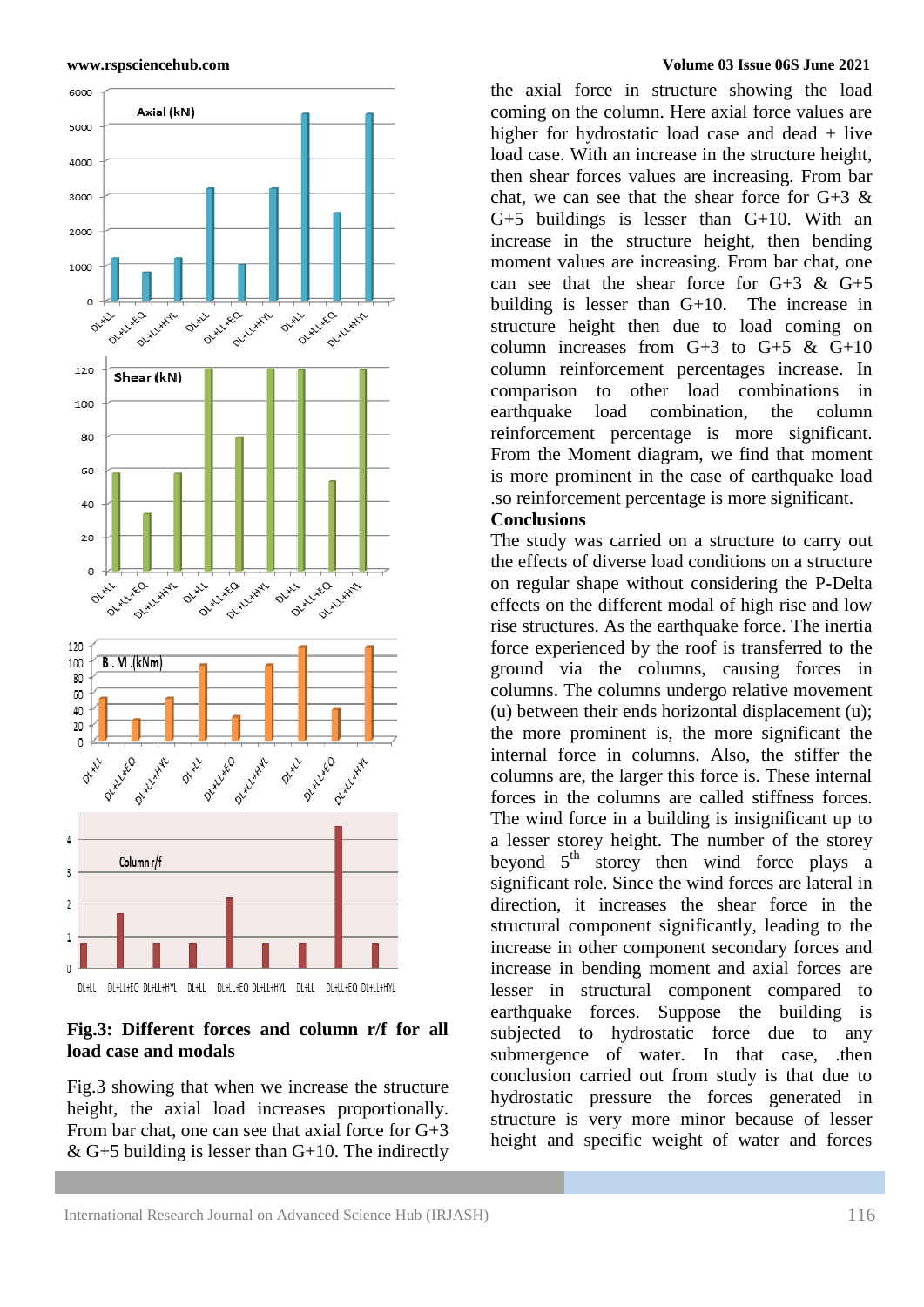



# **Fig.3: Different forces and column r/f for all load case and modals**

Fig.3 showing that when we increase the structure height, the axial load increases proportionally. From bar chat, one can see that axial force for G+3  $&$  G+5 building is lesser than G+10. The indirectly

#### **www.rspsciencehub.com Volume 03 Issue 06S June 2021**

the axial force in structure showing the load coming on the column. Here axial force values are higher for hydrostatic load case and dead + live load case. With an increase in the structure height, then shear forces values are increasing. From bar chat, we can see that the shear force for  $G+3$  & G+5 buildings is lesser than G+10. With an increase in the structure height, then bending moment values are increasing. From bar chat, one can see that the shear force for  $G+3$  &  $G+5$ building is lesser than G+10. The increase in structure height then due to load coming on column increases from  $G+3$  to  $G+5$  &  $G+10$ column reinforcement percentages increase. In comparison to other load combinations in earthquake load combination, the column reinforcement percentage is more significant. From the Moment diagram, we find that moment is more prominent in the case of earthquake load .so reinforcement percentage is more significant.

# **Conclusions**

The study was carried on a structure to carry out the effects of diverse load conditions on a structure on regular shape without considering the P-Delta effects on the different modal of high rise and low rise structures. As the earthquake force. The inertia force experienced by the roof is transferred to the ground via the columns, causing forces in columns. The columns undergo relative movement (u) between their ends horizontal displacement (u); the more prominent is, the more significant the internal force in columns. Also, the stiffer the columns are, the larger this force is. These internal forces in the columns are called stiffness forces. The wind force in a building is insignificant up to a lesser storey height. The number of the storey beyond  $5<sup>th</sup>$  storey then wind force plays a significant role. Since the wind forces are lateral in direction, it increases the shear force in the structural component significantly, leading to the increase in other component secondary forces and increase in bending moment and axial forces are lesser in structural component compared to earthquake forces. Suppose the building is subjected to hydrostatic force due to any submergence of water. In that case, then conclusion carried out from study is that due to hydrostatic pressure the forces generated in structure is very more minor because of lesser height and specific weight of water and forces